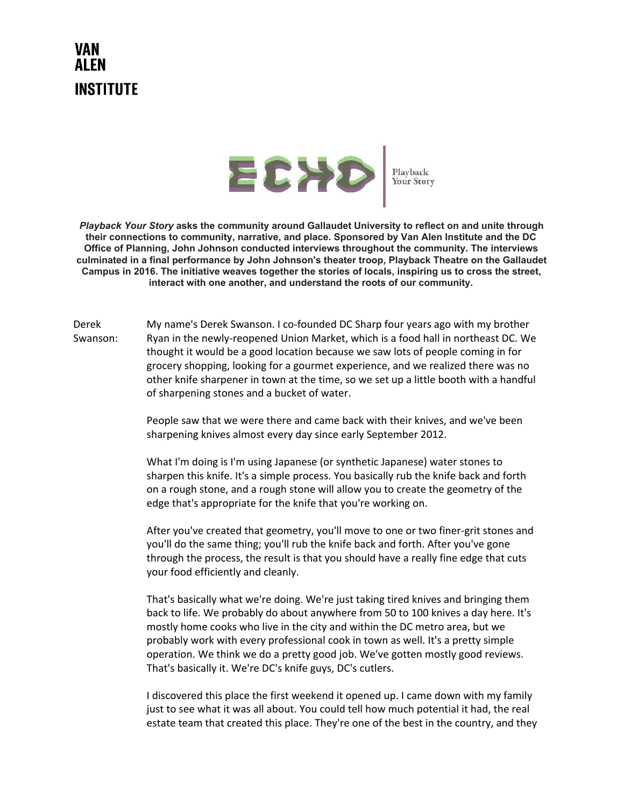## VAN AI FN **INSTITUTE**



*Playback Your Story*  **asks the community around Gallaudet University to reflect on and unite through their connections to community, narrative, and place. Sponsored by Van Alen Institute and the DC Office of Planning, John Johnson conducted interviews throughout the community. The interviews culminated in a final performance by John Johnson's theater troop, Playback Theatre on the Gallaudet Campus in 2016. The initiative weaves together the stories of locals, inspiring us to cross the street, interact with one another, and understand the roots of our community.**

Derek Swanson: My name's Derek Swanson. I co-founded DC Sharp four years ago with my brother Ryan in the newly-reopened Union Market, which is a food hall in northeast DC. We thought it would be a good location because we saw lots of people coming in for grocery shopping, looking for a gourmet experience, and we realized there was no other knife sharpener in town at the time, so we set up a little booth with a handful of sharpening stones and a bucket of water.

> People saw that we were there and came back with their knives, and we've been sharpening knives almost every day since early September 2012.

> What I'm doing is I'm using Japanese (or synthetic Japanese) water stones to sharpen this knife. It's a simple process. You basically rub the knife back and forth on a rough stone, and a rough stone will allow you to create the geometry of the edge that's appropriate for the knife that you're working on.

After you've created that geometry, you'll move to one or two finer-grit stones and you'll do the same thing; you'll rub the knife back and forth. After you've gone through the process, the result is that you should have a really fine edge that cuts your food efficiently and cleanly.

That's basically what we're doing. We're just taking tired knives and bringing them back to life. We probably do about anywhere from 50 to 100 knives a day here. It's mostly home cooks who live in the city and within the DC metro area, but we probably work with every professional cook in town as well. It's a pretty simple operation. We think we do a pretty good job. We've gotten mostly good reviews. That's basically it. We're DC's knife guys, DC's cutlers.

I discovered this place the first weekend it opened up. I came down with my family just to see what it was all about. You could tell how much potential it had, the real estate team that created this place. They're one of the best in the country, and they